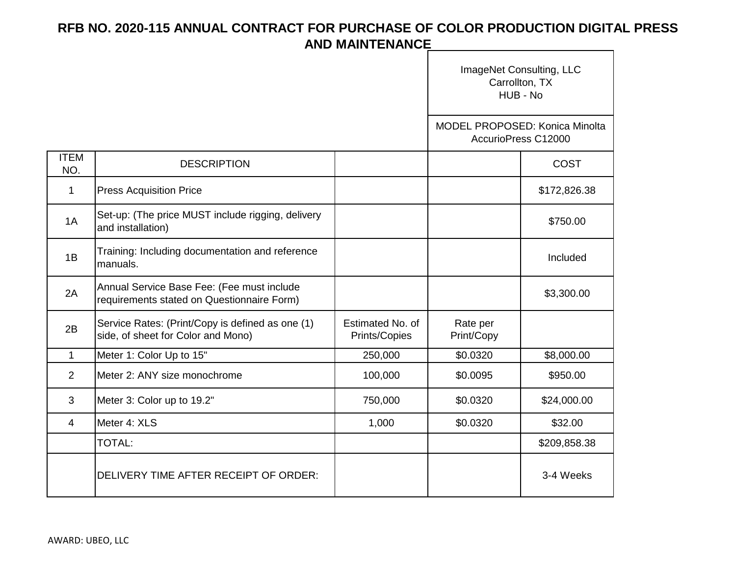|                    |                                                                                          |                                   | ImageNet Consulting, LLC<br>Carrollton, TX<br>HUB - No       |              |
|--------------------|------------------------------------------------------------------------------------------|-----------------------------------|--------------------------------------------------------------|--------------|
|                    |                                                                                          |                                   | <b>MODEL PROPOSED: Konica Minolta</b><br>AccurioPress C12000 |              |
| <b>ITEM</b><br>NO. | <b>DESCRIPTION</b>                                                                       |                                   |                                                              | COST         |
| $\mathbf 1$        | <b>Press Acquisition Price</b>                                                           |                                   |                                                              | \$172,826.38 |
| 1A                 | Set-up: (The price MUST include rigging, delivery<br>and installation)                   |                                   |                                                              | \$750.00     |
| 1B                 | Training: Including documentation and reference<br>manuals.                              |                                   |                                                              | Included     |
| 2A                 | Annual Service Base Fee: (Fee must include<br>requirements stated on Questionnaire Form) |                                   |                                                              | \$3,300.00   |
| 2B                 | Service Rates: (Print/Copy is defined as one (1)<br>side, of sheet for Color and Mono)   | Estimated No. of<br>Prints/Copies | Rate per<br>Print/Copy                                       |              |
| $\mathbf{1}$       | Meter 1: Color Up to 15"                                                                 | 250,000                           | \$0.0320                                                     | \$8,000.00   |
| 2                  | Meter 2: ANY size monochrome                                                             | 100,000                           | \$0.0095                                                     | \$950.00     |
| 3                  | Meter 3: Color up to 19.2"                                                               | 750,000                           | \$0.0320                                                     | \$24,000.00  |
| 4                  | Meter 4: XLS                                                                             | 1,000                             | \$0.0320                                                     | \$32.00      |
|                    | <b>TOTAL:</b>                                                                            |                                   |                                                              | \$209,858.38 |
|                    | DELIVERY TIME AFTER RECEIPT OF ORDER:                                                    |                                   |                                                              | 3-4 Weeks    |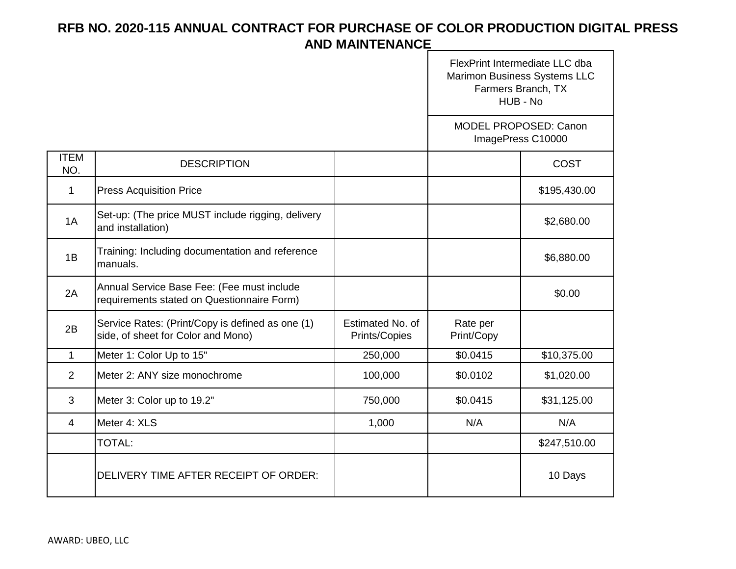|                    |                                                                                          |                                   | FlexPrint Intermediate LLC dba<br>Marimon Business Systems LLC<br>Farmers Branch, TX<br>HUB - No |                                                   |  |
|--------------------|------------------------------------------------------------------------------------------|-----------------------------------|--------------------------------------------------------------------------------------------------|---------------------------------------------------|--|
|                    |                                                                                          |                                   |                                                                                                  | <b>MODEL PROPOSED: Canon</b><br>ImagePress C10000 |  |
| <b>ITEM</b><br>NO. | <b>DESCRIPTION</b>                                                                       |                                   |                                                                                                  | COST                                              |  |
| 1                  | <b>Press Acquisition Price</b>                                                           |                                   |                                                                                                  | \$195,430.00                                      |  |
| 1A                 | Set-up: (The price MUST include rigging, delivery<br>and installation)                   |                                   |                                                                                                  | \$2,680.00                                        |  |
| 1B                 | Training: Including documentation and reference<br>manuals.                              |                                   |                                                                                                  | \$6,880.00                                        |  |
| 2A                 | Annual Service Base Fee: (Fee must include<br>requirements stated on Questionnaire Form) |                                   |                                                                                                  | \$0.00                                            |  |
| 2B                 | Service Rates: (Print/Copy is defined as one (1)<br>side, of sheet for Color and Mono)   | Estimated No. of<br>Prints/Copies | Rate per<br>Print/Copy                                                                           |                                                   |  |
| $\mathbf{1}$       | Meter 1: Color Up to 15"                                                                 | 250,000                           | \$0.0415                                                                                         | \$10,375.00                                       |  |
| $\overline{2}$     | Meter 2: ANY size monochrome                                                             | 100,000                           | \$0.0102                                                                                         | \$1,020.00                                        |  |
| 3                  | Meter 3: Color up to 19.2"                                                               | 750,000                           | \$0.0415                                                                                         | \$31,125.00                                       |  |
| $\overline{4}$     | Meter 4: XLS                                                                             | 1,000                             | N/A                                                                                              | N/A                                               |  |
|                    | <b>TOTAL:</b>                                                                            |                                   |                                                                                                  | \$247,510.00                                      |  |
|                    | DELIVERY TIME AFTER RECEIPT OF ORDER:                                                    |                                   |                                                                                                  | 10 Days                                           |  |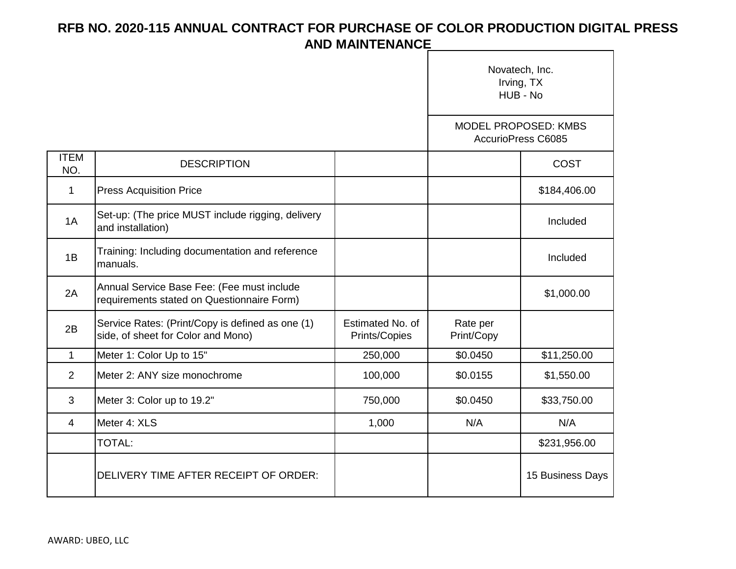|                    |                                                                                          |                                   | Novatech, Inc.<br>Irving, TX<br>HUB - No<br>MODEL PROPOSED: KMBS<br>AccurioPress C6085 |                  |
|--------------------|------------------------------------------------------------------------------------------|-----------------------------------|----------------------------------------------------------------------------------------|------------------|
|                    |                                                                                          |                                   |                                                                                        |                  |
| <b>ITEM</b><br>NO. | <b>DESCRIPTION</b>                                                                       |                                   |                                                                                        | <b>COST</b>      |
| $\mathbf{1}$       | <b>Press Acquisition Price</b>                                                           |                                   |                                                                                        | \$184,406.00     |
| 1A                 | Set-up: (The price MUST include rigging, delivery<br>and installation)                   |                                   |                                                                                        | Included         |
| 1B                 | Training: Including documentation and reference<br>manuals.                              |                                   |                                                                                        | Included         |
| 2A                 | Annual Service Base Fee: (Fee must include<br>requirements stated on Questionnaire Form) |                                   |                                                                                        | \$1,000.00       |
| 2B                 | Service Rates: (Print/Copy is defined as one (1)<br>side, of sheet for Color and Mono)   | Estimated No. of<br>Prints/Copies | Rate per<br>Print/Copy                                                                 |                  |
| $\mathbf{1}$       | Meter 1: Color Up to 15"                                                                 | 250,000                           | \$0.0450                                                                               | \$11,250.00      |
| 2                  | Meter 2: ANY size monochrome                                                             | 100,000                           | \$0.0155                                                                               | \$1,550.00       |
| 3                  | Meter 3: Color up to 19.2"                                                               | 750,000                           | \$0.0450                                                                               | \$33,750.00      |
| 4                  | Meter 4: XLS                                                                             | 1,000                             | N/A                                                                                    | N/A              |
|                    | <b>TOTAL:</b>                                                                            |                                   |                                                                                        | \$231,956.00     |
|                    | DELIVERY TIME AFTER RECEIPT OF ORDER:                                                    |                                   |                                                                                        | 15 Business Days |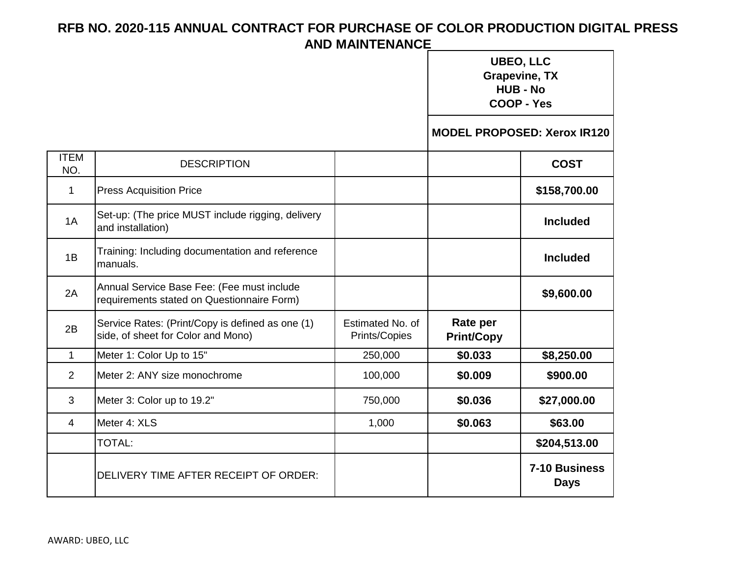|                    |                                                                                          |                                   | <b>UBEO, LLC</b><br><b>Grapevine, TX</b><br><b>HUB - No</b><br><b>COOP - Yes</b> |                                    |
|--------------------|------------------------------------------------------------------------------------------|-----------------------------------|----------------------------------------------------------------------------------|------------------------------------|
|                    |                                                                                          |                                   |                                                                                  | <b>MODEL PROPOSED: Xerox IR120</b> |
| <b>ITEM</b><br>NO. | <b>DESCRIPTION</b>                                                                       |                                   |                                                                                  | <b>COST</b>                        |
| $\mathbf 1$        | <b>Press Acquisition Price</b>                                                           |                                   |                                                                                  | \$158,700.00                       |
| 1A                 | Set-up: (The price MUST include rigging, delivery<br>and installation)                   |                                   |                                                                                  | <b>Included</b>                    |
| 1B                 | Training: Including documentation and reference<br>manuals.                              |                                   |                                                                                  | <b>Included</b>                    |
| 2A                 | Annual Service Base Fee: (Fee must include<br>requirements stated on Questionnaire Form) |                                   |                                                                                  | \$9,600.00                         |
| 2B                 | Service Rates: (Print/Copy is defined as one (1)<br>side, of sheet for Color and Mono)   | Estimated No. of<br>Prints/Copies | Rate per<br><b>Print/Copy</b>                                                    |                                    |
| $\mathbf{1}$       | Meter 1: Color Up to 15"                                                                 | 250,000                           | \$0.033                                                                          | \$8,250.00                         |
| 2                  | Meter 2: ANY size monochrome                                                             | 100,000                           | \$0.009                                                                          | \$900.00                           |
| 3                  | Meter 3: Color up to 19.2"                                                               | 750,000                           | \$0.036                                                                          | \$27,000.00                        |
| 4                  | Meter 4: XLS                                                                             | 1,000                             | \$0.063                                                                          | \$63.00                            |
|                    | <b>TOTAL:</b>                                                                            |                                   |                                                                                  | \$204,513.00                       |
|                    | DELIVERY TIME AFTER RECEIPT OF ORDER:                                                    |                                   |                                                                                  | 7-10 Business<br><b>Days</b>       |